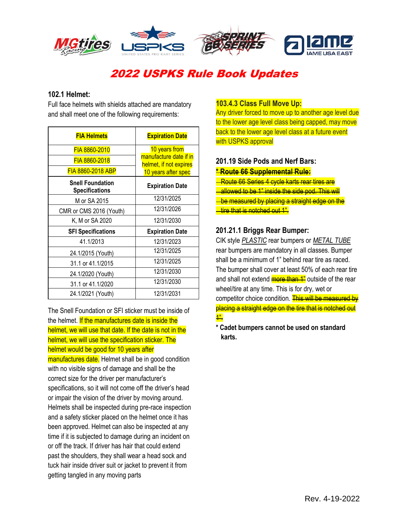

# 2022 USPKS Rule Book Updates

## **102.1 Helmet:**

Full face helmets with shields attached are mandatory and shall meet one of the following requirements:

| <b>FIA Helmets</b>                               | <b>Expiration Date</b>                           |
|--------------------------------------------------|--------------------------------------------------|
| FIA 8860-2010                                    | 10 years from                                    |
| FIA 8860-2018                                    | manufacture date if in<br>helmet, if not expires |
| <b>FIA 8860-2018 ABP</b>                         | 10 years after spec                              |
| <b>Snell Foundation</b><br><b>Specifications</b> | <b>Expiration Date</b>                           |
| M or SA 2015                                     | 12/31/2025                                       |
| CMR or CMS 2016 (Youth)                          | 12/31/2026                                       |
| K, M or SA 2020                                  | 12/31/2030                                       |
| <b>SFI Specifications</b>                        | <b>Expiration Date</b>                           |
| 41.1/2013                                        | 12/31/2023                                       |
| 24.1/2015 (Youth)                                | 12/31/2025                                       |
| 31.1 or 41.1/2015                                | 12/31/2025                                       |
| 24.1/2020 (Youth)                                | 12/31/2030                                       |
| 31.1 or 41.1/2020                                | 12/31/2030                                       |
| 24.1/2021 (Youth)                                | 12/31/2031                                       |

The Snell Foundation or SFI sticker must be inside of the helmet. If the manufactures date is inside the helmet, we will use that date. If the date is not in the helmet, we will use the specification sticker. The helmet would be good for 10 years after manufactures date. Helmet shall be in good condition with no visible signs of damage and shall be the correct size for the driver per manufacturer's specifications, so it will not come off the driver's head or impair the vision of the driver by moving around. Helmets shall be inspected during pre-race inspection and a safety sticker placed on the helmet once it has been approved. Helmet can also be inspected at any time if it is subjected to damage during an incident on or off the track. If driver has hair that could extend past the shoulders, they shall wear a head sock and tuck hair inside driver suit or jacket to prevent it from getting tangled in any moving parts

## **103.4.3 Class Full Move Up:**

Any driver forced to move up to another age level due to the lower age level class being capped, may move back to the lower age level class at a future event with USPKS approval

## **201.19 Side Pods and Nerf Bars:**

#### **\* Route 66 Supplemental Rule:**

**Route 66 Series 4 cycle karts rear tires are** allowed to be 1" inside the side pod. This will be measured by placing a straight edge on the <u>tire that is notched out 1".</u>

## **201.21.1 Briggs Rear Bumper:**

CIK style *PLASTIC* rear bumpers or *METAL TUBE* rear bumpers are mandatory in all classes. Bumper shall be a minimum of 1" behind rear tire as raced. The bumper shall cover at least 50% of each rear tire and shall not extend **more than 1**" outside of the rear wheel/tire at any time. This is for dry, wet or competitor choice condition. This will be measured by placing a straight edge on the tire that is notched out 1".

**\* Cadet bumpers cannot be used on standard karts.**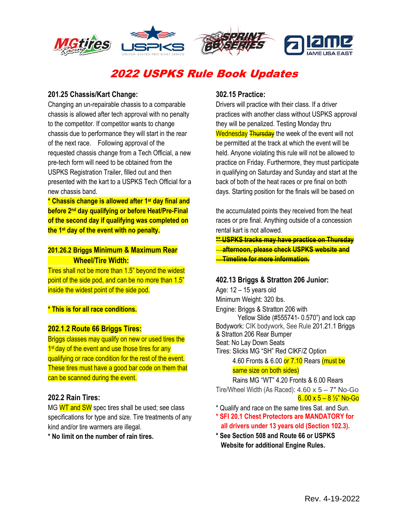

# 2022 USPKS Rule Book Updates

## **201.25 Chassis/Kart Change:**

Changing an un-repairable chassis to a comparable chassis is allowed after tech approval with no penalty to the competitor. If competitor wants to change chassis due to performance they will start in the rear of the next race. Following approval of the requested chassis change from a Tech Official, a new pre-tech form will need to be obtained from the USPKS Registration Trailer, filled out and then presented with the kart to a USPKS Tech Official for a new chassis band.

**\* Chassis change is allowed after 1st day final and before 2nd day qualifying or before Heat/Pre-Final of the second day if qualifying was completed on the 1st day of the event with no penalty.**

## **201.26.2 Briggs Minimum & Maximum Rear Wheel/Tire Width:**

Tires shall not be more than 1.5" beyond the widest point of the side pod, and can be no more than 1.5" inside the widest point of the side pod.

#### **\* This is for all race conditions.**

#### **202.1.2 Route 66 Briggs Tires:**

Briggs classes may qualify on new or used tires the 1<sup>st</sup> day of the event and use those tires for any qualifying or race condition for the rest of the event. These tires must have a good bar code on them that can be scanned during the event.

#### **202.2 Rain Tires:**

MG WT and SW spec tires shall be used; see class specifications for type and size. Tire treatments of any kind and/or tire warmers are illegal.

**\* No limit on the number of rain tires.**

## **302.15 Practice:**

Drivers will practice with their class. If a driver practices with another class without USPKS approval they will be penalized. Testing Monday thru Wednesday Thursday the week of the event will not be permitted at the track at which the event will be held. Anyone violating this rule will not be allowed to practice on Friday. Furthermore, they must participate in qualifying on Saturday and Sunday and start at the back of both of the heat races or pre final on both days. Starting position for the finals will be based on

the accumulated points they received from the heat races or pre final. Anything outside of a concession rental kart is not allowed.

**\*\* USPKS tracks may have practice on Thursday afternoon, please check USPKS website and Timeline for more information.**

## **402.13 Briggs & Stratton 206 Junior:**

Age: 12 – 15 years old Minimum Weight: 320 lbs. Engine: Briggs & Stratton 206 with Yellow Slide (#555741- 0.570") and lock cap Bodywork: CIK bodywork, See Rule 201.21.1 Briggs & Stratton 206 Rear Bumper Seat: No Lay Down Seats Tires: Slicks MG "SH" Red CIKF/Z Option 4.60 Fronts & 6.00 or 7.10 Rears (must be

# same size on both sides)

 Rains MG "WT" 4.20 Fronts & 6.00 Rears Tire/Wheel Width (As Raced):  $4.60 \times 5 - 7$ " No-Go  $6.00 \times 5 - 8 \frac{1}{2}$  No-Go

- \* Qualify and race on the same tires Sat. and Sun.
- **\* SFI 20.1 Chest Protectors are MANDATORY for all drivers under 13 years old (Section 102.3).**
- **\* See Section 508 and Route 66 or USPKS Website for additional Engine Rules.**